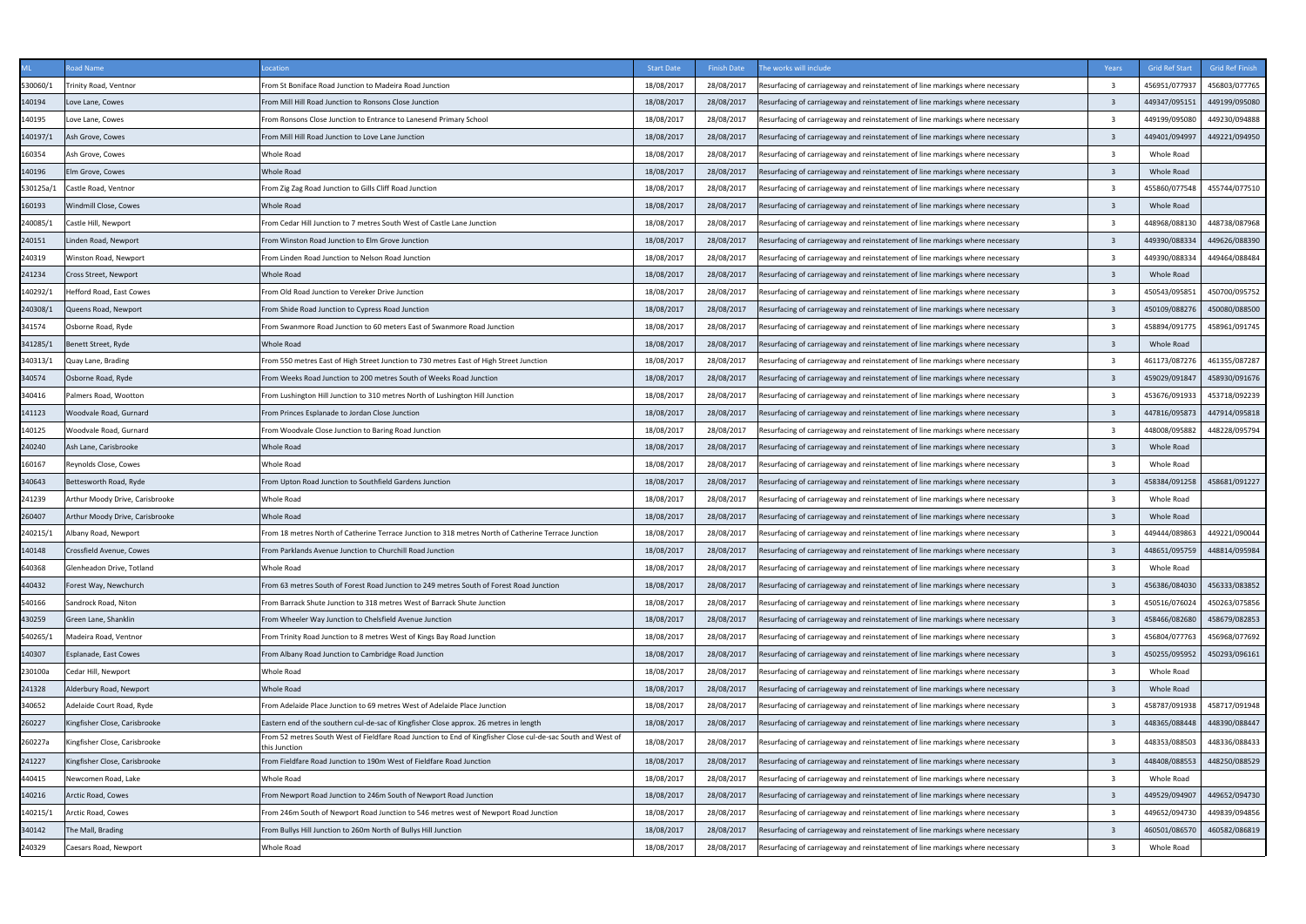|                  | pad Name                        | ocation                                                                                                                                                                                                | <b>Start Date</b>        | <b>Finish Date</b>       | he works will include                                                         | Years                   | <b>Grid Ref Start</b>       | <b>Grid Ref Finisl</b> |
|------------------|---------------------------------|--------------------------------------------------------------------------------------------------------------------------------------------------------------------------------------------------------|--------------------------|--------------------------|-------------------------------------------------------------------------------|-------------------------|-----------------------------|------------------------|
| 530060/1         | Trinity Road, Ventnor           | From St Boniface Road Junction to Madeira Road Junction                                                                                                                                                | 18/08/2017               | 28/08/2017               | Resurfacing of carriageway and reinstatement of line markings where necessary | $\overline{3}$          | 456951/077937               | 456803/077765          |
| 140194           | Love Lane, Cowes                | From Mill Hill Road Junction to Ronsons Close Junction                                                                                                                                                 | 18/08/2017               | 28/08/2017               | Resurfacing of carriageway and reinstatement of line markings where necessary | $\overline{\mathbf{3}}$ | 449347/095151               | 449199/095080          |
| 140195           | Love Lane, Cowes                | From Ronsons Close Junction to Entrance to Lanesend Primary School                                                                                                                                     | 18/08/2017               | 28/08/2017               | Resurfacing of carriageway and reinstatement of line markings where necessary | $\overline{3}$          | 449199/095080               | 449230/094888          |
| 140197/1         | Ash Grove, Cowes                | From Mill Hill Road Junction to Love Lane Junction                                                                                                                                                     | 18/08/2017               | 28/08/2017               | Resurfacing of carriageway and reinstatement of line markings where necessary | $\overline{3}$          | 449401/094997               | 449221/094950          |
| 160354           | Ash Grove, Cowes                | Whole Road                                                                                                                                                                                             | 18/08/2017               | 28/08/2017               | Resurfacing of carriageway and reinstatement of line markings where necessary | $\overline{3}$          | Whole Road                  |                        |
| 140196           | Im Grove, Cowes                 | Whole Road                                                                                                                                                                                             | 18/08/2017               | 28/08/2017               | Resurfacing of carriageway and reinstatement of line markings where necessary | $\overline{3}$          | <b>Whole Road</b>           |                        |
| 530125a/1        | Castle Road, Ventnor            | From Zig Zag Road Junction to Gills Cliff Road Junction                                                                                                                                                | 18/08/2017               | 28/08/2017               | Resurfacing of carriageway and reinstatement of line markings where necessary | $\mathbf{R}$            | 455860/077548               | 455744/077510          |
| 160193           | Windmill Close, Cowes           | <b>Whole Road</b>                                                                                                                                                                                      | 18/08/2017               | 28/08/2017               | Resurfacing of carriageway and reinstatement of line markings where necessary | $\overline{3}$          | Whole Road                  |                        |
| 240085/1         | Castle Hill, Newport            | From Cedar Hill Junction to 7 metres South West of Castle Lane Junction                                                                                                                                | 18/08/2017               | 28/08/2017               | Resurfacing of carriageway and reinstatement of line markings where necessary | $\overline{3}$          | 448968/088130               | 448738/087968          |
| 240151           | Linden Road, Newport            | From Winston Road Junction to Elm Grove Junction                                                                                                                                                       | 18/08/2017               | 28/08/2017               | Resurfacing of carriageway and reinstatement of line markings where necessary | $\overline{3}$          | 449390/088334               | 449626/088390          |
| 240319           | Ninston Road, Newport           | From Linden Road Junction to Nelson Road Junction                                                                                                                                                      | 18/08/2017               | 28/08/2017               | Resurfacing of carriageway and reinstatement of line markings where necessary | $\overline{\mathbf{3}}$ | 449390/088334               | 449464/088484          |
| 241234           | Cross Street, Newport           | <b>Whole Road</b>                                                                                                                                                                                      | 18/08/2017               | 28/08/2017               | Resurfacing of carriageway and reinstatement of line markings where necessary | $\overline{3}$          | Whole Road                  |                        |
| 40292/1          | lefford Road, East Cowes        | From Old Road Junction to Vereker Drive Junction                                                                                                                                                       | 18/08/2017               | 28/08/2017               | Resurfacing of carriageway and reinstatement of line markings where necessary | $\overline{3}$          | 450543/095851               | 450700/095752          |
| 240308/1         | Queens Road, Newport            | From Shide Road Junction to Cypress Road Junction                                                                                                                                                      | 18/08/2017               | 28/08/2017               | Resurfacing of carriageway and reinstatement of line markings where necessary | $\overline{\mathbf{3}}$ | 450109/088276               | 450080/088500          |
| 341574           | Osborne Road, Ryde              | From Swanmore Road Junction to 60 meters East of Swanmore Road Junction                                                                                                                                | 18/08/2017               | 28/08/2017               | Resurfacing of carriageway and reinstatement of line markings where necessary | $\overline{3}$          | 158894/091775               | 458961/091745          |
| 341285/1         | Benett Street, Ryde             | <b>Whole Road</b>                                                                                                                                                                                      | 18/08/2017               | 28/08/2017               | esurfacing of carriageway and reinstatement of line markings where necessary  | $\overline{\mathbf{3}}$ | Whole Road                  |                        |
| 340313/1         | Quay Lane, Brading              | From 550 metres East of High Street Junction to 730 metres East of High Street Junction                                                                                                                | 18/08/2017               | 28/08/2017               | Resurfacing of carriageway and reinstatement of line markings where necessary | -3                      | 461173/087276               | 461355/087287          |
| 340574           | Osborne Road, Ryde              | From Weeks Road Junction to 200 metres South of Weeks Road Junction                                                                                                                                    | 18/08/2017               | 28/08/2017               | Resurfacing of carriageway and reinstatement of line markings where necessary | $\overline{\mathbf{3}}$ | 459029/091847               | 458930/091676          |
| 340416           | almers Road, Wootton            | From Lushington Hill Junction to 310 metres North of Lushington Hill Junction                                                                                                                          | 18/08/2017               | 28/08/2017               | Resurfacing of carriageway and reinstatement of line markings where necessary | $\overline{3}$          | 453676/091933               | 453718/092239          |
| 141123           | Woodvale Road, Gurnard          | From Princes Esplanade to Jordan Close Junction                                                                                                                                                        | 18/08/2017               | 28/08/2017               | Resurfacing of carriageway and reinstatement of line markings where necessary | $\overline{\mathbf{3}}$ | 447816/095873               | 447914/095818          |
| 140125           | Noodvale Road, Gurnard          | From Woodvale Close Junction to Baring Road Junction                                                                                                                                                   | 18/08/2017               | 28/08/2017               | Resurfacing of carriageway and reinstatement of line markings where necessary | $\overline{3}$          | 448008/095882               | 448228/095794          |
| 240240           | Ash Lane, Carisbrooke           | <b>Whole Road</b>                                                                                                                                                                                      | 18/08/2017               | 28/08/2017               | Resurfacing of carriageway and reinstatement of line markings where necessary | $\overline{3}$          | Whole Road                  |                        |
| 160167           | Reynolds Close, Cowes           | Whole Road                                                                                                                                                                                             | 18/08/2017               | 28/08/2017               | Resurfacing of carriageway and reinstatement of line markings where necessary | ્વ                      | Whole Road                  |                        |
| 340643           | Bettesworth Road, Ryde          | From Upton Road Junction to Southfield Gardens Junction                                                                                                                                                | 18/08/2017               | 28/08/2017               | esurfacing of carriageway and reinstatement of line markings where necessary  | $\overline{\mathbf{3}}$ | 458384/091258               | 458681/091227          |
|                  | Arthur Moody Drive, Carisbrooke | <b>Whole Road</b>                                                                                                                                                                                      | 18/08/2017               | 28/08/2017               | Resurfacing of carriageway and reinstatement of line markings where necessary | $\overline{3}$          | Whole Road                  |                        |
| 241239<br>260407 | Arthur Moody Drive, Carisbrooke | Whole Road                                                                                                                                                                                             | 18/08/2017               | 28/08/2017               | Resurfacing of carriageway and reinstatement of line markings where necessary | $\overline{3}$          | Whole Road                  |                        |
| 240215/1         | Albany Road, Newport            | From 18 metres North of Catherine Terrace Junction to 318 metres North of Catherine Terrace Junction                                                                                                   | 18/08/2017               | 28/08/2017               | Resurfacing of carriageway and reinstatement of line markings where necessary | $\overline{3}$          | 449444/089863               | 449221/090044          |
|                  |                                 |                                                                                                                                                                                                        |                          |                          |                                                                               |                         |                             | 448814/095984          |
| 140148           | Crossfield Avenue, Cowes        | From Parklands Avenue Junction to Churchill Road Junction<br>Whole Road                                                                                                                                | 18/08/2017<br>18/08/2017 | 28/08/2017<br>28/08/2017 | Resurfacing of carriageway and reinstatement of line markings where necessary | $\overline{\mathbf{3}}$ | 448651/095759<br>Whole Road |                        |
| 640368           | Glenheadon Drive, Totland       |                                                                                                                                                                                                        |                          |                          | Resurfacing of carriageway and reinstatement of line markings where necessary |                         |                             | 456333/083852          |
| 440432           | Forest Way, Newchurch           | From 63 metres South of Forest Road Junction to 249 metres South of Forest Road Junction                                                                                                               | 18/08/2017               | 28/08/2017               | Resurfacing of carriageway and reinstatement of line markings where necessary | $\overline{\mathbf{3}}$ | 456386/084030               |                        |
| 540166           | Sandrock Road, Niton            | From Barrack Shute Junction to 318 metres West of Barrack Shute Junction                                                                                                                               | 18/08/2017               | 28/08/2017               | Resurfacing of carriageway and reinstatement of line markings where necessary | $\overline{3}$          | 450516/076024               | 450263/075856          |
| 430259           | Green Lane, Shanklin            | From Wheeler Way Junction to Chelsfield Avenue Junction                                                                                                                                                | 18/08/2017               | 28/08/2017               | Resurfacing of carriageway and reinstatement of line markings where necessary | $\overline{\mathbf{3}}$ | 458466/082680               | 458679/082853          |
| 540265/1         | Madeira Road, Ventnor           | From Trinity Road Junction to 8 metres West of Kings Bay Road Junction                                                                                                                                 | 18/08/2017               | 28/08/2017               | Resurfacing of carriageway and reinstatement of line markings where necessary | $\overline{\mathbf{3}}$ | 456804/077763               | 456968/077692          |
| 140307           | Esplanade, East Cowes           | From Albany Road Junction to Cambridge Road Junction                                                                                                                                                   | 18/08/2017               | 28/08/2017               | Resurfacing of carriageway and reinstatement of line markings where necessary | $\overline{3}$          | 450255/095952               | 450293/096161          |
| 230100a          | Cedar Hill, Newport             | Whole Road                                                                                                                                                                                             | 18/08/2017               | 28/08/2017               | Resurfacing of carriageway and reinstatement of line markings where necessary | $\overline{3}$          | Whole Road                  |                        |
| 241328           | Alderbury Road, Newport         | Whole Road                                                                                                                                                                                             | 18/08/2017               | 28/08/2017               | Resurfacing of carriageway and reinstatement of line markings where necessary | $\overline{3}$          | Whole Road                  |                        |
| 340652           | Adelaide Court Road, Ryde       | From Adelaide Place Junction to 69 metres West of Adelaide Place Junction                                                                                                                              | 18/08/2017               | 28/08/2017               | Resurfacing of carriageway and reinstatement of line markings where necessary | $\overline{\mathbf{3}}$ | 458787/091938               | 458717/091948          |
| 260227           | Kingfisher Close, Carisbrooke   | Eastern end of the southern cul-de-sac of Kingfisher Close approx. 26 metres in length<br>From 52 metres South West of Fieldfare Road Junction to End of Kingfisher Close cul-de-sac South and West of | 18/08/2017               | 28/08/2017               | Resurfacing of carriageway and reinstatement of line markings where necessary | $\overline{\mathbf{3}}$ | 448365/088448               | 448390/088447          |
| 260227a          | Kingfisher Close, Carisbrooke   | this Junction                                                                                                                                                                                          | 18/08/2017               | 28/08/2017               | Resurfacing of carriageway and reinstatement of line markings where necessary | $\overline{\mathbf{3}}$ | 448353/088503               | 448336/088433          |
| 241227           | Kingfisher Close, Carisbrooke   | From Fieldfare Road Junction to 190m West of Fieldfare Road Junction                                                                                                                                   | 18/08/2017               | 28/08/2017               | Resurfacing of carriageway and reinstatement of line markings where necessary | $\overline{\mathbf{3}}$ | 448408/088553               | 448250/088529          |
| 440415           | Newcomen Road, Lake             | Whole Road                                                                                                                                                                                             | 18/08/2017               | 28/08/2017               | Resurfacing of carriageway and reinstatement of line markings where necessary | 3                       | Whole Road                  |                        |
| 140216           | Arctic Road, Cowes              | From Newport Road Junction to 246m South of Newport Road Junction                                                                                                                                      | 18/08/2017               | 28/08/2017               | Resurfacing of carriageway and reinstatement of line markings where necessary | $\overline{3}$          | 449529/094907               | 449652/094730          |
| 40215/1          | Arctic Road, Cowes              | From 246m South of Newport Road Junction to 546 metres west of Newport Road Junction                                                                                                                   | 18/08/2017               | 28/08/2017               | Resurfacing of carriageway and reinstatement of line markings where necessary | -3                      | 449652/094730               | 449839/094856          |
| 340142           | The Mall, Brading               | From Bullys Hill Junction to 260m North of Bullys Hill Junction                                                                                                                                        | 18/08/2017               | 28/08/2017               | Resurfacing of carriageway and reinstatement of line markings where necessary | $\overline{\mathbf{3}}$ | 460501/086570               | 460582/086819          |
| 240329           | Caesars Road, Newport           | Whole Road                                                                                                                                                                                             | 18/08/2017               | 28/08/2017               | Resurfacing of carriageway and reinstatement of line markings where necessary | $\overline{\mathbf{3}}$ | Whole Road                  |                        |